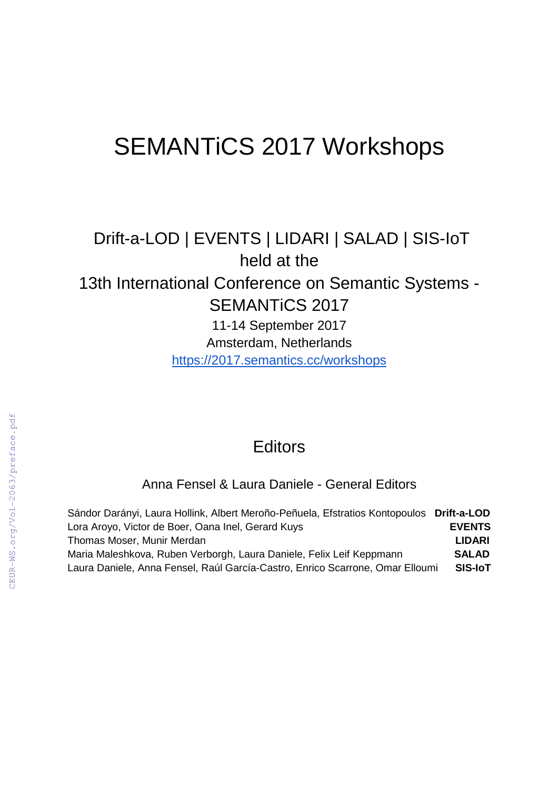# SEMANTiCS 2017 Workshops

## Drift-a-LOD | EVENTS | LIDARI | SALAD | SIS-IoT held at the 13th International Conference on Semantic Systems - SEMANTiCS 2017

11-14 September 2017 Amsterdam, Netherlands <https://2017.semantics.cc/workshops>

### **Editors**

Anna Fensel & Laura Daniele - General Editors

| Sándor Darányi, Laura Hollink, Albert Meroño-Peñuela, Efstratios Kontopoulos Drift-a-LOD |                |
|------------------------------------------------------------------------------------------|----------------|
| Lora Aroyo, Victor de Boer, Oana Inel, Gerard Kuys                                       | <b>EVENTS</b>  |
| Thomas Moser, Munir Merdan                                                               | <b>LIDARI</b>  |
| Maria Maleshkova, Ruben Verborgh, Laura Daniele, Felix Leif Keppmann                     | <b>SALAD</b>   |
| Laura Daniele, Anna Fensel, Raúl García-Castro, Enrico Scarrone, Omar Elloumi            | <b>SIS-IoT</b> |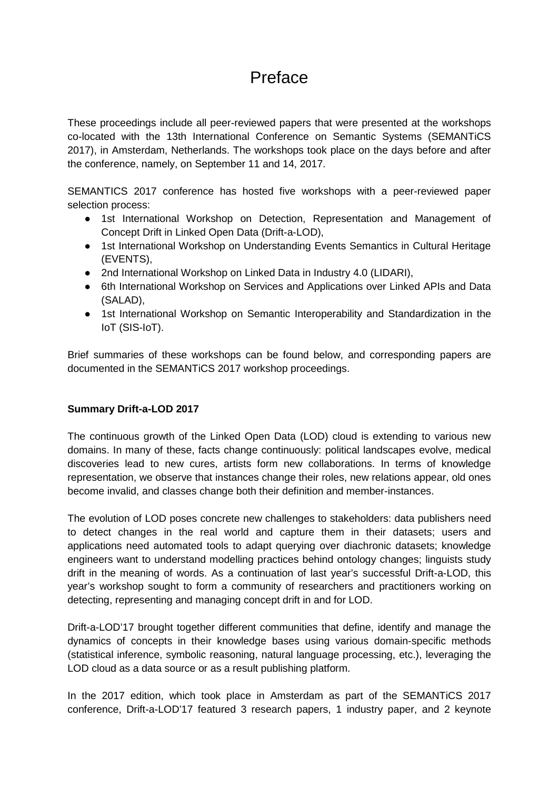## Preface

These proceedings include all peer-reviewed papers that were presented at the workshops co-located with the 13th International Conference on Semantic Systems (SEMANTiCS 2017), in Amsterdam, Netherlands. The workshops took place on the days before and after the conference, namely, on September 11 and 14, 2017.

SEMANTICS 2017 conference has hosted five workshops with a peer-reviewed paper selection process:

- 1st International Workshop on Detection, Representation and Management of Concept Drift in Linked Open Data (Drift-a-LOD),
- 1st International Workshop on Understanding Events Semantics in Cultural Heritage (EVENTS),
- 2nd International Workshop on Linked Data in Industry 4.0 (LIDARI).
- 6th International Workshop on Services and Applications over Linked APIs and Data (SALAD),
- 1st International Workshop on Semantic Interoperability and Standardization in the IoT (SIS-IoT).

Brief summaries of these workshops can be found below, and corresponding papers are documented in the SEMANTiCS 2017 workshop proceedings.

#### **Summary Drift-a-LOD 2017**

The continuous growth of the Linked Open Data (LOD) cloud is extending to various new domains. In many of these, facts change continuously: political landscapes evolve, medical discoveries lead to new cures, artists form new collaborations. In terms of knowledge representation, we observe that instances change their roles, new relations appear, old ones become invalid, and classes change both their definition and member-instances.

The evolution of LOD poses concrete new challenges to stakeholders: data publishers need to detect changes in the real world and capture them in their datasets; users and applications need automated tools to adapt querying over diachronic datasets; knowledge engineers want to understand modelling practices behind ontology changes; linguists study drift in the meaning of words. As a continuation of last year's successful Drift-a-LOD, this year's workshop sought to form a community of researchers and practitioners working on detecting, representing and managing concept drift in and for LOD.

Drift-a-LOD'17 brought together different communities that define, identify and manage the dynamics of concepts in their knowledge bases using various domain-specific methods (statistical inference, symbolic reasoning, natural language processing, etc.), leveraging the LOD cloud as a data source or as a result publishing platform.

In the 2017 edition, which took place in Amsterdam as part of the SEMANTiCS 2017 conference, Drift-a-LOD'17 featured 3 research papers, 1 industry paper, and 2 keynote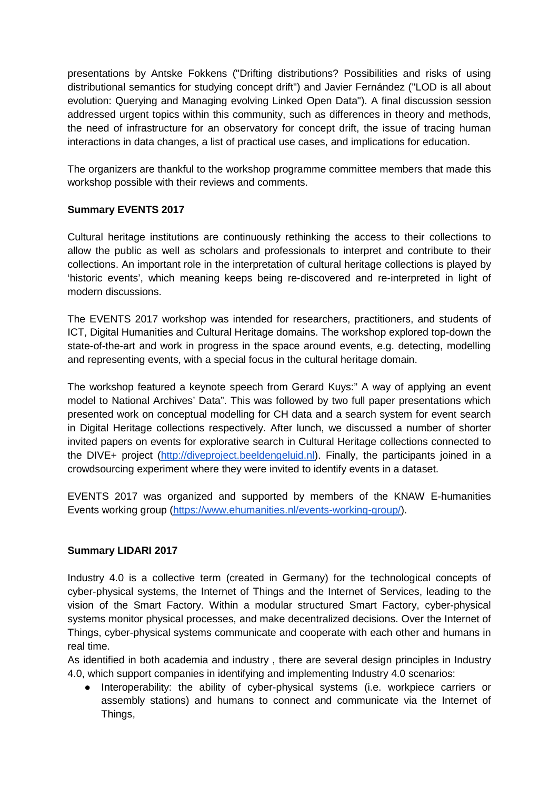presentations by Antske Fokkens ("Drifting distributions? Possibilities and risks of using distributional semantics for studying concept drift") and Javier Fernández ("LOD is all about evolution: Querying and Managing evolving Linked Open Data"). A final discussion session addressed urgent topics within this community, such as differences in theory and methods, the need of infrastructure for an observatory for concept drift, the issue of tracing human interactions in data changes, a list of practical use cases, and implications for education.

The organizers are thankful to the workshop programme committee members that made this workshop possible with their reviews and comments.

#### **Summary EVENTS 2017**

Cultural heritage institutions are continuously rethinking the access to their collections to allow the public as well as scholars and professionals to interpret and contribute to their collections. An important role in the interpretation of cultural heritage collections is played by 'historic events', which meaning keeps being re-discovered and re-interpreted in light of modern discussions.

The EVENTS 2017 workshop was intended for researchers, practitioners, and students of ICT, Digital Humanities and Cultural Heritage domains. The workshop explored top-down the state-of-the-art and work in progress in the space around events, e.g. detecting, modelling and representing events, with a special focus in the cultural heritage domain.

The workshop featured a keynote speech from Gerard Kuys:" A way of applying an event model to National Archives' Data". This was followed by two full paper presentations which presented work on conceptual modelling for CH data and a search system for event search in Digital Heritage collections respectively. After lunch, we discussed a number of shorter invited papers on events for explorative search in Cultural Heritage collections connected to the DIVE+ project [\(http://diveproject.beeldengeluid.nl\)](http://diveproject.beeldengeluid.nl/). Finally, the participants joined in a crowdsourcing experiment where they were invited to identify events in a dataset.

EVENTS 2017 was organized and supported by members of the KNAW E-humanities Events working group [\(https://www.ehumanities.nl/events-working-group/\)](https://www.ehumanities.nl/events-working-group/).

#### **Summary LIDARI 2017**

Industry 4.0 is a collective term (created in Germany) for the technological concepts of cyber-physical systems, the Internet of Things and the Internet of Services, leading to the vision of the Smart Factory. Within a modular structured Smart Factory, cyber-physical systems monitor physical processes, and make decentralized decisions. Over the Internet of Things, cyber-physical systems communicate and cooperate with each other and humans in real time.

As identified in both academia and industry , there are several design principles in Industry 4.0, which support companies in identifying and implementing Industry 4.0 scenarios:

● Interoperability: the ability of cyber-physical systems (i.e. workpiece carriers or assembly stations) and humans to connect and communicate via the Internet of Things,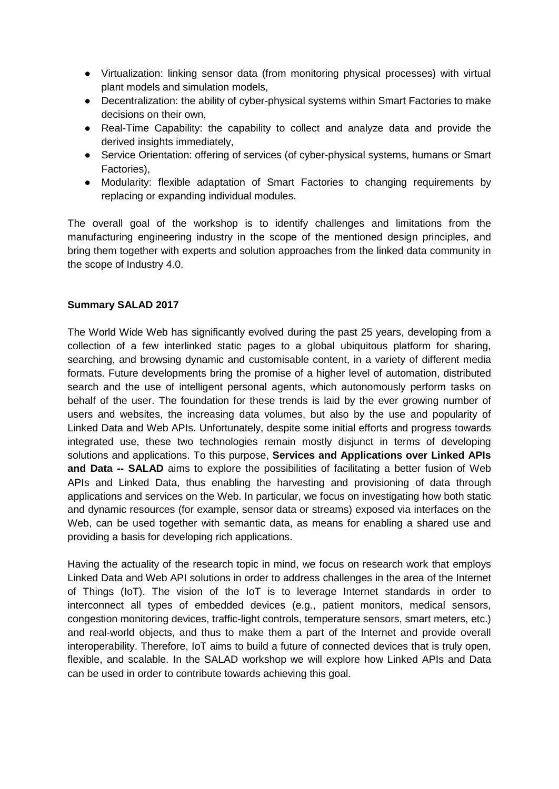- Virtualization: linking sensor data (from monitoring physical processes) with virtual plant models and simulation models,
- Decentralization: the ability of cyber-physical systems within Smart Factories to make decisions on their own,
- Real-Time Capability: the capability to collect and analyze data and provide the derived insights immediately.
- Service Orientation: offering of services (of cyber-physical systems, humans or Smart Factories),
- Modularity: flexible adaptation of Smart Factories to changing requirements by replacing or expanding individual modules.

The overall goal of the workshop is to identify challenges and limitations from the manufacturing engineering industry in the scope of the mentioned design principles, and bring them together with experts and solution approaches from the linked data community in the scope of Industry 4.0.

#### **Summary SALAD 2017**

The World Wide Web has significantly evolved during the past 25 years, developing from a collection of a few interlinked static pages to a global ubiquitous platform for sharing, searching, and browsing dynamic and customisable content, in a variety of different media formats. Future developments bring the promise of a higher level of automation, distributed search and the use of intelligent personal agents, which autonomously perform tasks on behalf of the user. The foundation for these trends is laid by the ever growing number of users and websites, the increasing data volumes, but also by the use and popularity of Linked Data and Web APIs. Unfortunately, despite some initial efforts and progress towards integrated use, these two technologies remain mostly disjunct in terms of developing solutions and applications. To this purpose, **Services and Applications over Linked APIs and Data -- SALAD** aims to explore the possibilities of facilitating a better fusion of Web APIs and Linked Data, thus enabling the harvesting and provisioning of data through applications and services on the Web. In particular, we focus on investigating how both static and dynamic resources (for example, sensor data or streams) exposed via interfaces on the Web, can be used together with semantic data, as means for enabling a shared use and providing a basis for developing rich applications.

Having the actuality of the research topic in mind, we focus on research work that employs Linked Data and Web API solutions in order to address challenges in the area of the Internet of Things (IoT). The vision of the IoT is to leverage Internet standards in order to interconnect all types of embedded devices (e.g., patient monitors, medical sensors, congestion monitoring devices, traffic-light controls, temperature sensors, smart meters, etc.) and real-world objects, and thus to make them a part of the Internet and provide overall interoperability. Therefore, IoT aims to build a future of connected devices that is truly open, flexible, and scalable. In the SALAD workshop we will explore how Linked APIs and Data can be used in order to contribute towards achieving this goal.